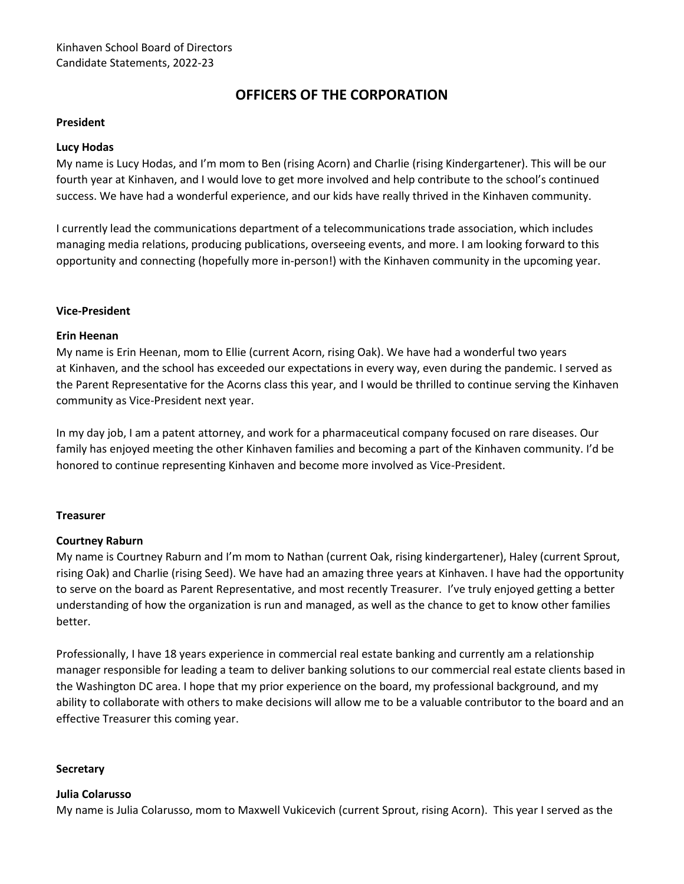# **OFFICERS OF THE CORPORATION**

#### **President**

#### **Lucy Hodas**

My name is Lucy Hodas, and I'm mom to Ben (rising Acorn) and Charlie (rising Kindergartener). This will be our fourth year at Kinhaven, and I would love to get more involved and help contribute to the school's continued success. We have had a wonderful experience, and our kids have really thrived in the Kinhaven community.

I currently lead the communications department of a telecommunications trade association, which includes managing media relations, producing publications, overseeing events, and more. I am looking forward to this opportunity and connecting (hopefully more in-person!) with the Kinhaven community in the upcoming year.

#### **Vice-President**

#### **Erin Heenan**

My name is Erin Heenan, mom to Ellie (current Acorn, rising Oak). We have had a wonderful two years at Kinhaven, and the school has exceeded our expectations in every way, even during the pandemic. I served as the Parent Representative for the Acorns class this year, and I would be thrilled to continue serving the Kinhaven community as Vice-President next year.

In my day job, I am a patent attorney, and work for a pharmaceutical company focused on rare diseases. Our family has enjoyed meeting the other Kinhaven families and becoming a part of the Kinhaven community. I'd be honored to continue representing Kinhaven and become more involved as Vice-President.

#### **Treasurer**

## **Courtney Raburn**

My name is Courtney Raburn and I'm mom to Nathan (current Oak, rising kindergartener), Haley (current Sprout, rising Oak) and Charlie (rising Seed). We have had an amazing three years at Kinhaven. I have had the opportunity to serve on the board as Parent Representative, and most recently Treasurer. I've truly enjoyed getting a better understanding of how the organization is run and managed, as well as the chance to get to know other families better.

Professionally, I have 18 years experience in commercial real estate banking and currently am a relationship manager responsible for leading a team to deliver banking solutions to our commercial real estate clients based in the Washington DC area. I hope that my prior experience on the board, my professional background, and my ability to collaborate with others to make decisions will allow me to be a valuable contributor to the board and an effective Treasurer this coming year.

#### **Secretary**

## **Julia Colarusso**

My name is Julia Colarusso, mom to Maxwell Vukicevich (current Sprout, rising Acorn). This year I served as the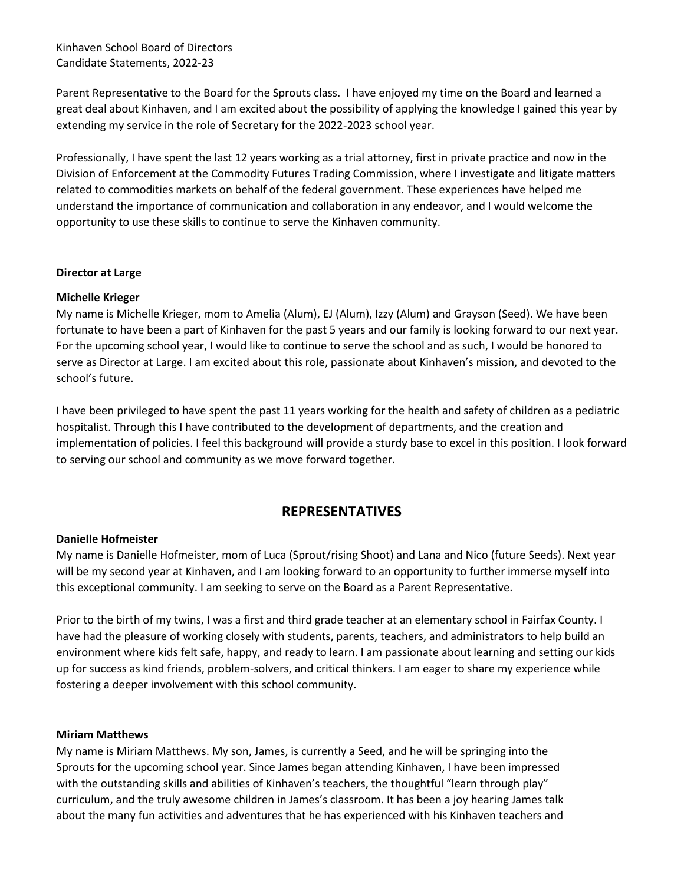Kinhaven School Board of Directors Candidate Statements, 2022-23

Parent Representative to the Board for the Sprouts class. I have enjoyed my time on the Board and learned a great deal about Kinhaven, and I am excited about the possibility of applying the knowledge I gained this year by extending my service in the role of Secretary for the 2022-2023 school year.

Professionally, I have spent the last 12 years working as a trial attorney, first in private practice and now in the Division of Enforcement at the Commodity Futures Trading Commission, where I investigate and litigate matters related to commodities markets on behalf of the federal government. These experiences have helped me understand the importance of communication and collaboration in any endeavor, and I would welcome the opportunity to use these skills to continue to serve the Kinhaven community.

#### **Director at Large**

## **Michelle Krieger**

My name is Michelle Krieger, mom to Amelia (Alum), EJ (Alum), Izzy (Alum) and Grayson (Seed). We have been fortunate to have been a part of Kinhaven for the past 5 years and our family is looking forward to our next year. For the upcoming school year, I would like to continue to serve the school and as such, I would be honored to serve as Director at Large. I am excited about this role, passionate about Kinhaven's mission, and devoted to the school's future.

I have been privileged to have spent the past 11 years working for the health and safety of children as a pediatric hospitalist. Through this I have contributed to the development of departments, and the creation and implementation of policies. I feel this background will provide a sturdy base to excel in this position. I look forward to serving our school and community as we move forward together.

## **REPRESENTATIVES**

#### **Danielle Hofmeister**

My name is Danielle Hofmeister, mom of Luca (Sprout/rising Shoot) and Lana and Nico (future Seeds). Next year will be my second year at Kinhaven, and I am looking forward to an opportunity to further immerse myself into this exceptional community. I am seeking to serve on the Board as a Parent Representative.

Prior to the birth of my twins, I was a first and third grade teacher at an elementary school in Fairfax County. I have had the pleasure of working closely with students, parents, teachers, and administrators to help build an environment where kids felt safe, happy, and ready to learn. I am passionate about learning and setting our kids up for success as kind friends, problem-solvers, and critical thinkers. I am eager to share my experience while fostering a deeper involvement with this school community.

#### **Miriam Matthews**

My name is Miriam Matthews. My son, James, is currently a Seed, and he will be springing into the Sprouts for the upcoming school year. Since James began attending Kinhaven, I have been impressed with the outstanding skills and abilities of Kinhaven's teachers, the thoughtful "learn through play" curriculum, and the truly awesome children in James's classroom. It has been a joy hearing James talk about the many fun activities and adventures that he has experienced with his Kinhaven teachers and